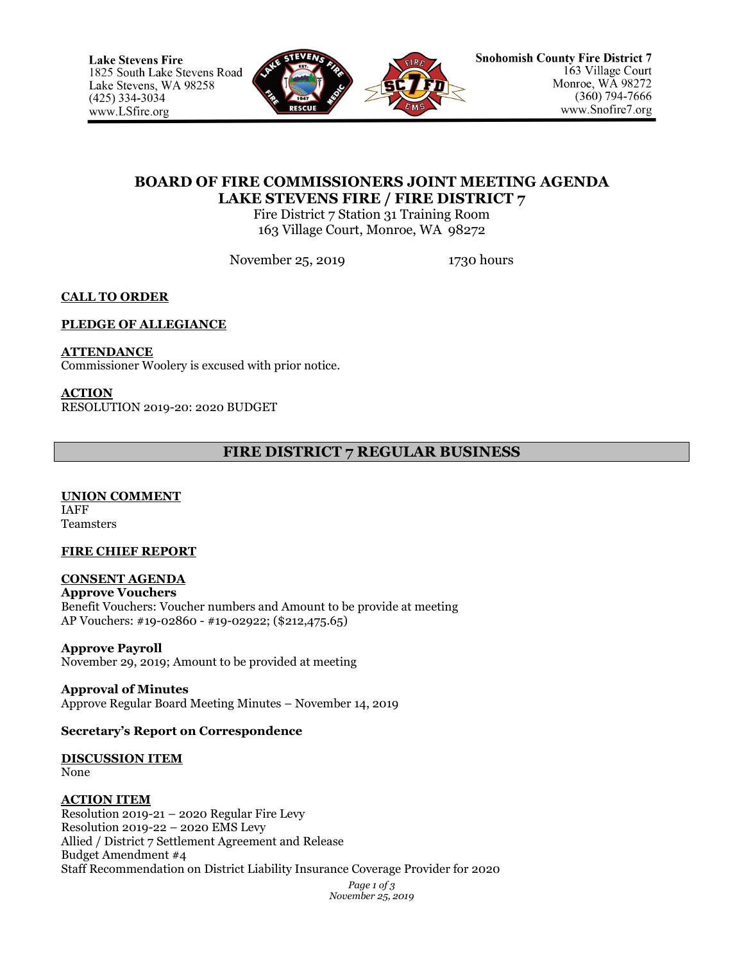

# **BOARD OF FIRE COMMISSIONERS JOINT MEETING AGENDA LAKE STEVENS FIRE / FIRE DISTRICT 7**

Fire District 7 Station 31 Training Room 163 Village Court, Monroe, WA 98272

November 25, 2019 1730 hours

# **CALL TO ORDER**

## **PLEDGE OF ALLEGIANCE**

## **ATTENDANCE**

Commissioner Woolery is excused with prior notice.

### **ACTION**

RESOLUTION 2019-20: 2020 BUDGET

# **FIRE DISTRICT 7 REGULAR BUSINESS**

**UNION COMMENT** IAFF Teamsters

## **FIRE CHIEF REPORT**

### **CONSENT AGENDA Approve Vouchers** Benefit Vouchers: Voucher numbers and Amount to be provide at meeting AP Vouchers: #19-02860 - #19-02922; (\$212,475.65)

**Approve Payroll** November 29, 2019; Amount to be provided at meeting

**Approval of Minutes** Approve Regular Board Meeting Minutes – November 14, 2019

## **Secretary's Report on Correspondence**

#### **DISCUSSION ITEM** None

## **ACTION ITEM**

Resolution 2019-21 – 2020 Regular Fire Levy Resolution 2019-22 – 2020 EMS Levy Allied / District 7 Settlement Agreement and Release Budget Amendment #4 Staff Recommendation on District Liability Insurance Coverage Provider for 2020

> *Page 1 of 3 November 25, 2019*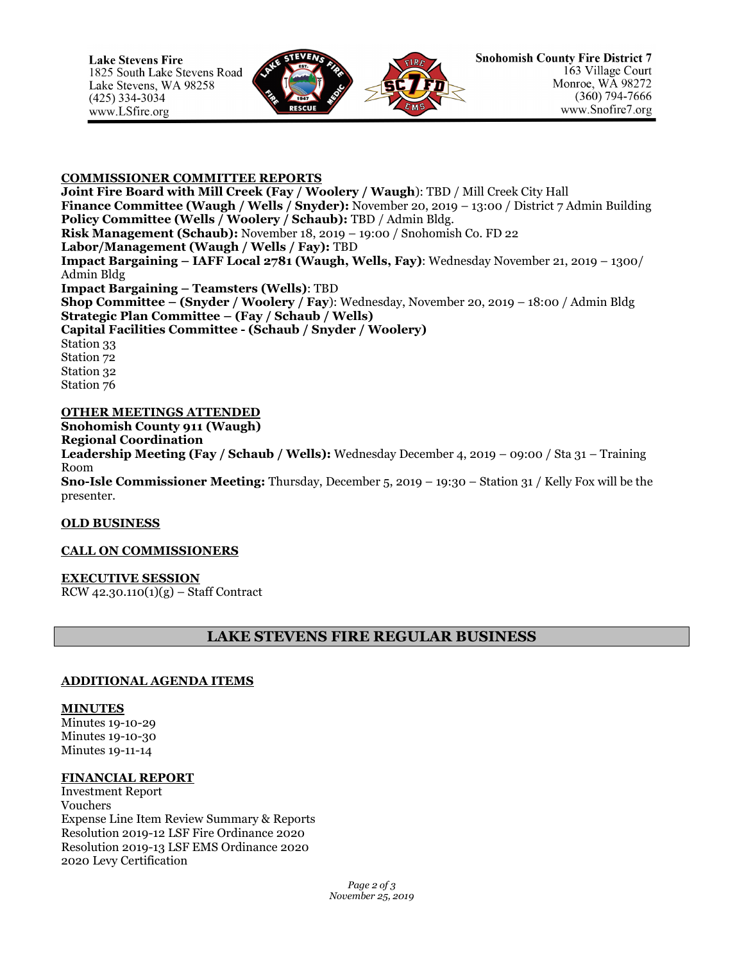

### **COMMISSIONER COMMITTEE REPORTS**

**Joint Fire Board with Mill Creek (Fay / Woolery / Waugh**): TBD / Mill Creek City Hall **Finance Committee (Waugh / Wells / Snyder):** November 20, 2019 – 13:00 / District 7 Admin Building **Policy Committee (Wells / Woolery / Schaub):** TBD / Admin Bldg. **Risk Management (Schaub):** November 18, 2019 – 19:00 / Snohomish Co. FD 22 **Labor/Management (Waugh / Wells / Fay):** TBD **Impact Bargaining – IAFF Local 2781 (Waugh, Wells, Fay)**: Wednesday November 21, 2019 – 1300/ Admin Bldg **Impact Bargaining – Teamsters (Wells)**: TBD **Shop Committee – (Snyder / Woolery / Fay**): Wednesday, November 20, 2019 – 18:00 / Admin Bldg **Strategic Plan Committee – (Fay / Schaub / Wells) Capital Facilities Committee - (Schaub / Snyder / Woolery)** Station 33 Station 72 Station 32 Station 76

### **OTHER MEETINGS ATTENDED**

**Snohomish County 911 (Waugh) Regional Coordination Leadership Meeting (Fay / Schaub / Wells):** Wednesday December 4, 2019 – 09:00 / Sta 31 – Training Room **Sno-Isle Commissioner Meeting:** Thursday, December 5, 2019 – 19:30 – Station 31 / Kelly Fox will be the presenter.

#### **OLD BUSINESS**

## **CALL ON COMMISSIONERS**

#### **EXECUTIVE SESSION**

 $RCW$  42.30.110(1)(g) – Staff Contract

# **LAKE STEVENS FIRE REGULAR BUSINESS**

## **ADDITIONAL AGENDA ITEMS**

#### **MINUTES**

Minutes 19-10-29 Minutes 19-10-30 Minutes 19-11-14

#### **FINANCIAL REPORT**

Investment Report Vouchers Expense Line Item Review Summary & Reports Resolution 2019-12 LSF Fire Ordinance 2020 Resolution 2019-13 LSF EMS Ordinance 2020 2020 Levy Certification

> *Page 2 of 3 November 25, 2019*